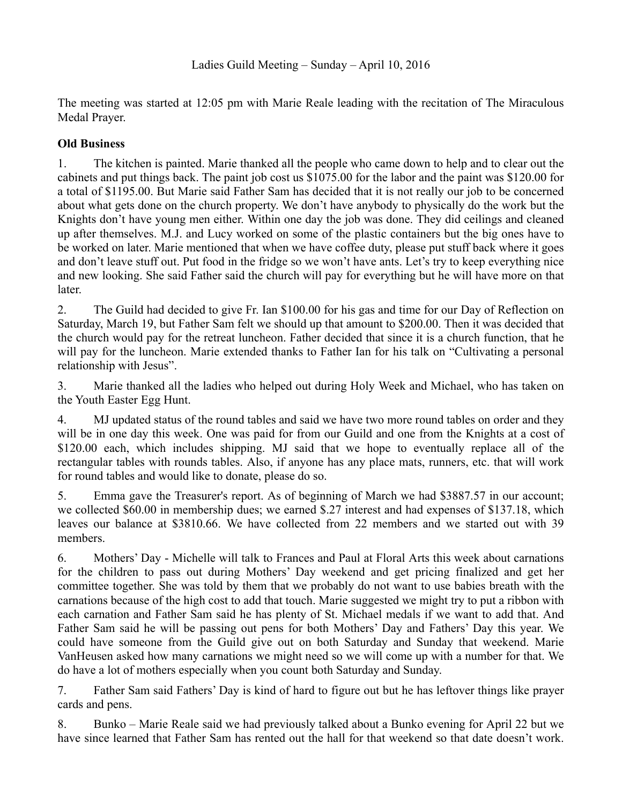The meeting was started at 12:05 pm with Marie Reale leading with the recitation of The Miraculous Medal Prayer.

## **Old Business**

1. The kitchen is painted. Marie thanked all the people who came down to help and to clear out the cabinets and put things back. The paint job cost us \$1075.00 for the labor and the paint was \$120.00 for a total of \$1195.00. But Marie said Father Sam has decided that it is not really our job to be concerned about what gets done on the church property. We don't have anybody to physically do the work but the Knights don't have young men either. Within one day the job was done. They did ceilings and cleaned up after themselves. M.J. and Lucy worked on some of the plastic containers but the big ones have to be worked on later. Marie mentioned that when we have coffee duty, please put stuff back where it goes and don't leave stuff out. Put food in the fridge so we won't have ants. Let's try to keep everything nice and new looking. She said Father said the church will pay for everything but he will have more on that later.

2. The Guild had decided to give Fr. Ian \$100.00 for his gas and time for our Day of Reflection on Saturday, March 19, but Father Sam felt we should up that amount to \$200.00. Then it was decided that the church would pay for the retreat luncheon. Father decided that since it is a church function, that he will pay for the luncheon. Marie extended thanks to Father Ian for his talk on "Cultivating a personal relationship with Jesus".

3. Marie thanked all the ladies who helped out during Holy Week and Michael, who has taken on the Youth Easter Egg Hunt.

4. MJ updated status of the round tables and said we have two more round tables on order and they will be in one day this week. One was paid for from our Guild and one from the Knights at a cost of \$120.00 each, which includes shipping. MJ said that we hope to eventually replace all of the rectangular tables with rounds tables. Also, if anyone has any place mats, runners, etc. that will work for round tables and would like to donate, please do so.

5. Emma gave the Treasurer's report. As of beginning of March we had \$3887.57 in our account; we collected \$60.00 in membership dues; we earned \$.27 interest and had expenses of \$137.18, which leaves our balance at \$3810.66. We have collected from 22 members and we started out with 39 members.

6. Mothers' Day - Michelle will talk to Frances and Paul at Floral Arts this week about carnations for the children to pass out during Mothers' Day weekend and get pricing finalized and get her committee together. She was told by them that we probably do not want to use babies breath with the carnations because of the high cost to add that touch. Marie suggested we might try to put a ribbon with each carnation and Father Sam said he has plenty of St. Michael medals if we want to add that. And Father Sam said he will be passing out pens for both Mothers' Day and Fathers' Day this year. We could have someone from the Guild give out on both Saturday and Sunday that weekend. Marie VanHeusen asked how many carnations we might need so we will come up with a number for that. We do have a lot of mothers especially when you count both Saturday and Sunday.

7. Father Sam said Fathers' Day is kind of hard to figure out but he has leftover things like prayer cards and pens.

8. Bunko – Marie Reale said we had previously talked about a Bunko evening for April 22 but we have since learned that Father Sam has rented out the hall for that weekend so that date doesn't work.